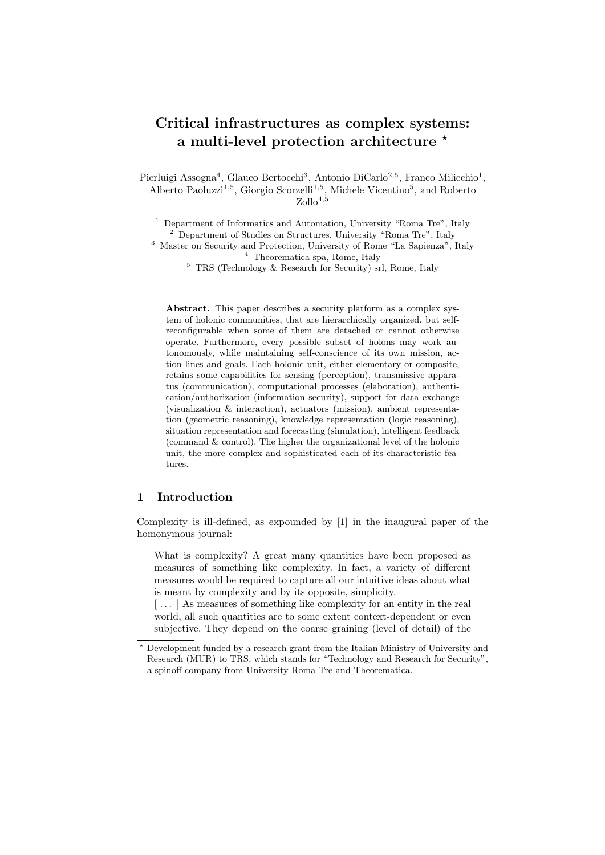# Critical infrastructures as complex systems: a multi-level protection architecture \*

Pierluigi Assogna<sup>4</sup>, Glauco Bertocchi<sup>3</sup>, Antonio DiCarlo<sup>2,5</sup>, Franco Milicchio<sup>1</sup>, Alberto Paoluzzi<sup>1,5</sup>, Giorgio Scorzelli<sup>1,5</sup>, Michele Vicentino<sup>5</sup>, and Roberto  $Z_0$ llo<sup>4,5</sup>

<sup>1</sup> Department of Informatics and Automation, University "Roma Tre", Italy <sup>2</sup> Department of Studies on Structures, University "Roma Tre", Italy <sup>3</sup> Master on Security and Protection, University of Rome "La Sapienza", Italy

<sup>4</sup> Theorematica spa, Rome, Italy

<sup>5</sup> TRS (Technology & Research for Security) srl, Rome, Italy

Abstract. This paper describes a security platform as a complex system of holonic communities, that are hierarchically organized, but selfreconfigurable when some of them are detached or cannot otherwise operate. Furthermore, every possible subset of holons may work autonomously, while maintaining self-conscience of its own mission, action lines and goals. Each holonic unit, either elementary or composite, retains some capabilities for sensing (perception), transmissive apparatus (communication), computational processes (elaboration), authentication/authorization (information security), support for data exchange (visualization & interaction), actuators (mission), ambient representation (geometric reasoning), knowledge representation (logic reasoning), situation representation and forecasting (simulation), intelligent feedback (command & control). The higher the organizational level of the holonic unit, the more complex and sophisticated each of its characteristic features.

# 1 Introduction

Complexity is ill-defined, as expounded by [1] in the inaugural paper of the homonymous journal:

What is complexity? A great many quantities have been proposed as measures of something like complexity. In fact, a variety of different measures would be required to capture all our intuitive ideas about what is meant by complexity and by its opposite, simplicity.

[...] As measures of something like complexity for an entity in the real world, all such quantities are to some extent context-dependent or even subjective. They depend on the coarse graining (level of detail) of the

<sup>?</sup> Development funded by a research grant from the Italian Ministry of University and Research (MUR) to TRS, which stands for "Technology and Research for Security", a spinoff company from University Roma Tre and Theorematica.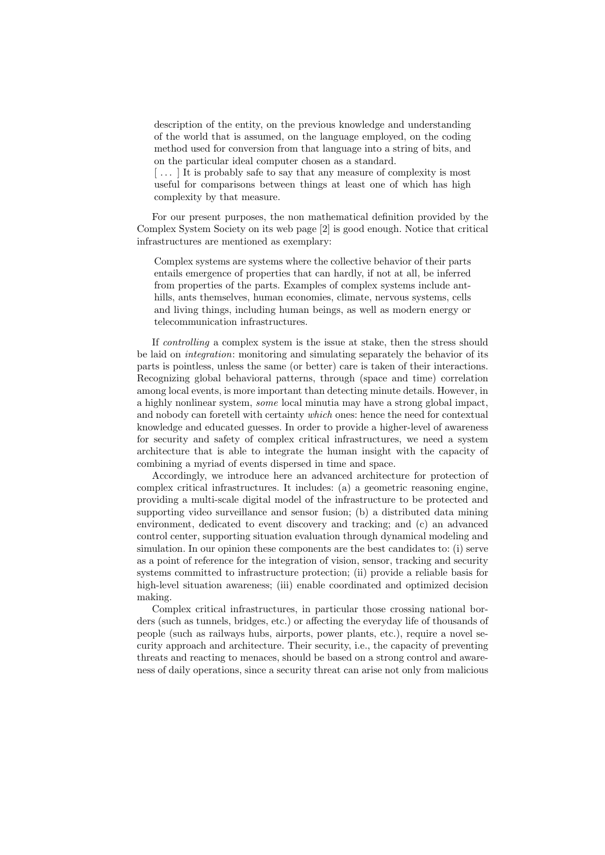description of the entity, on the previous knowledge and understanding of the world that is assumed, on the language employed, on the coding method used for conversion from that language into a string of bits, and on the particular ideal computer chosen as a standard.

[...] It is probably safe to say that any measure of complexity is most useful for comparisons between things at least one of which has high complexity by that measure.

For our present purposes, the non mathematical definition provided by the Complex System Society on its web page [2] is good enough. Notice that critical infrastructures are mentioned as exemplary:

Complex systems are systems where the collective behavior of their parts entails emergence of properties that can hardly, if not at all, be inferred from properties of the parts. Examples of complex systems include anthills, ants themselves, human economies, climate, nervous systems, cells and living things, including human beings, as well as modern energy or telecommunication infrastructures.

If controlling a complex system is the issue at stake, then the stress should be laid on integration: monitoring and simulating separately the behavior of its parts is pointless, unless the same (or better) care is taken of their interactions. Recognizing global behavioral patterns, through (space and time) correlation among local events, is more important than detecting minute details. However, in a highly nonlinear system, some local minutia may have a strong global impact, and nobody can foretell with certainty which ones: hence the need for contextual knowledge and educated guesses. In order to provide a higher-level of awareness for security and safety of complex critical infrastructures, we need a system architecture that is able to integrate the human insight with the capacity of combining a myriad of events dispersed in time and space.

Accordingly, we introduce here an advanced architecture for protection of complex critical infrastructures. It includes: (a) a geometric reasoning engine, providing a multi-scale digital model of the infrastructure to be protected and supporting video surveillance and sensor fusion; (b) a distributed data mining environment, dedicated to event discovery and tracking; and (c) an advanced control center, supporting situation evaluation through dynamical modeling and simulation. In our opinion these components are the best candidates to: (i) serve as a point of reference for the integration of vision, sensor, tracking and security systems committed to infrastructure protection; (ii) provide a reliable basis for high-level situation awareness; (iii) enable coordinated and optimized decision making.

Complex critical infrastructures, in particular those crossing national borders (such as tunnels, bridges, etc.) or affecting the everyday life of thousands of people (such as railways hubs, airports, power plants, etc.), require a novel security approach and architecture. Their security, i.e., the capacity of preventing threats and reacting to menaces, should be based on a strong control and awareness of daily operations, since a security threat can arise not only from malicious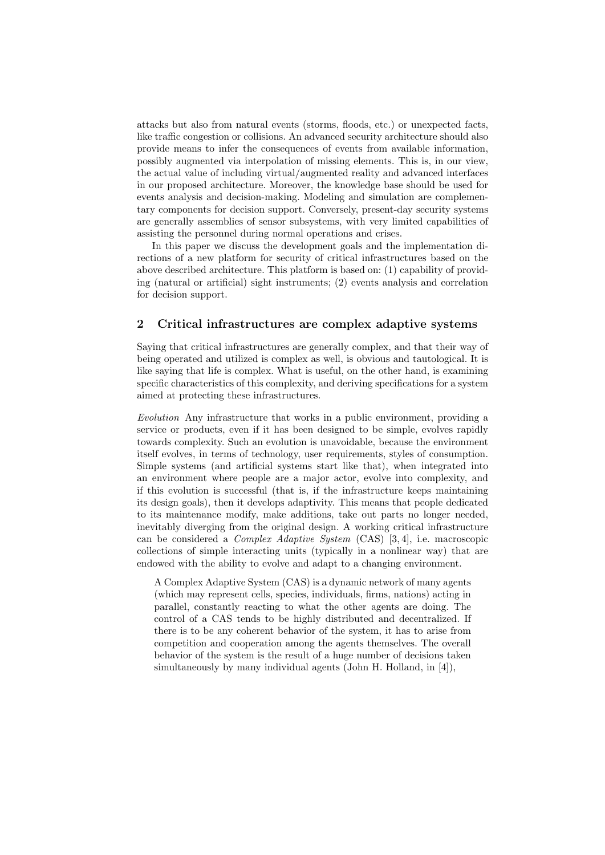attacks but also from natural events (storms, floods, etc.) or unexpected facts, like traffic congestion or collisions. An advanced security architecture should also provide means to infer the consequences of events from available information, possibly augmented via interpolation of missing elements. This is, in our view, the actual value of including virtual/augmented reality and advanced interfaces in our proposed architecture. Moreover, the knowledge base should be used for events analysis and decision-making. Modeling and simulation are complementary components for decision support. Conversely, present-day security systems are generally assemblies of sensor subsystems, with very limited capabilities of assisting the personnel during normal operations and crises.

In this paper we discuss the development goals and the implementation directions of a new platform for security of critical infrastructures based on the above described architecture. This platform is based on: (1) capability of providing (natural or artificial) sight instruments; (2) events analysis and correlation for decision support.

## 2 Critical infrastructures are complex adaptive systems

Saying that critical infrastructures are generally complex, and that their way of being operated and utilized is complex as well, is obvious and tautological. It is like saying that life is complex. What is useful, on the other hand, is examining specific characteristics of this complexity, and deriving specifications for a system aimed at protecting these infrastructures.

Evolution Any infrastructure that works in a public environment, providing a service or products, even if it has been designed to be simple, evolves rapidly towards complexity. Such an evolution is unavoidable, because the environment itself evolves, in terms of technology, user requirements, styles of consumption. Simple systems (and artificial systems start like that), when integrated into an environment where people are a major actor, evolve into complexity, and if this evolution is successful (that is, if the infrastructure keeps maintaining its design goals), then it develops adaptivity. This means that people dedicated to its maintenance modify, make additions, take out parts no longer needed, inevitably diverging from the original design. A working critical infrastructure can be considered a Complex Adaptive System (CAS) [3, 4], i.e. macroscopic collections of simple interacting units (typically in a nonlinear way) that are endowed with the ability to evolve and adapt to a changing environment.

A Complex Adaptive System (CAS) is a dynamic network of many agents (which may represent cells, species, individuals, firms, nations) acting in parallel, constantly reacting to what the other agents are doing. The control of a CAS tends to be highly distributed and decentralized. If there is to be any coherent behavior of the system, it has to arise from competition and cooperation among the agents themselves. The overall behavior of the system is the result of a huge number of decisions taken simultaneously by many individual agents (John H. Holland, in [4]),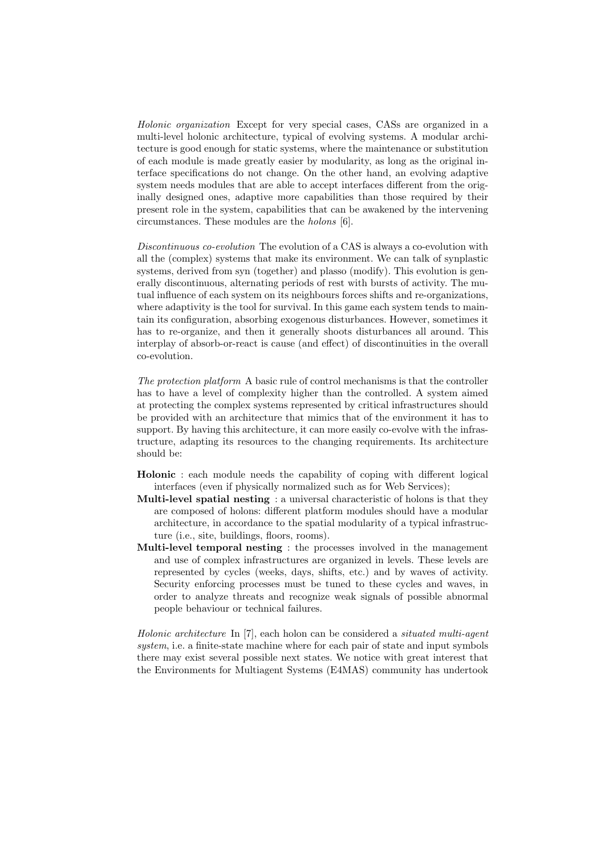Holonic organization Except for very special cases, CASs are organized in a multi-level holonic architecture, typical of evolving systems. A modular architecture is good enough for static systems, where the maintenance or substitution of each module is made greatly easier by modularity, as long as the original interface specifications do not change. On the other hand, an evolving adaptive system needs modules that are able to accept interfaces different from the originally designed ones, adaptive more capabilities than those required by their present role in the system, capabilities that can be awakened by the intervening circumstances. These modules are the holons [6].

Discontinuous co-evolution The evolution of a CAS is always a co-evolution with all the (complex) systems that make its environment. We can talk of synplastic systems, derived from syn (together) and plasso (modify). This evolution is generally discontinuous, alternating periods of rest with bursts of activity. The mutual influence of each system on its neighbours forces shifts and re-organizations, where adaptivity is the tool for survival. In this game each system tends to maintain its configuration, absorbing exogenous disturbances. However, sometimes it has to re-organize, and then it generally shoots disturbances all around. This interplay of absorb-or-react is cause (and effect) of discontinuities in the overall co-evolution.

The protection platform A basic rule of control mechanisms is that the controller has to have a level of complexity higher than the controlled. A system aimed at protecting the complex systems represented by critical infrastructures should be provided with an architecture that mimics that of the environment it has to support. By having this architecture, it can more easily co-evolve with the infrastructure, adapting its resources to the changing requirements. Its architecture should be:

- Holonic : each module needs the capability of coping with different logical interfaces (even if physically normalized such as for Web Services);
- Multi-level spatial nesting : a universal characteristic of holons is that they are composed of holons: different platform modules should have a modular architecture, in accordance to the spatial modularity of a typical infrastructure (i.e., site, buildings, floors, rooms).
- Multi-level temporal nesting : the processes involved in the management and use of complex infrastructures are organized in levels. These levels are represented by cycles (weeks, days, shifts, etc.) and by waves of activity. Security enforcing processes must be tuned to these cycles and waves, in order to analyze threats and recognize weak signals of possible abnormal people behaviour or technical failures.

Holonic architecture In [7], each holon can be considered a situated multi-agent system, i.e. a finite-state machine where for each pair of state and input symbols there may exist several possible next states. We notice with great interest that the Environments for Multiagent Systems (E4MAS) community has undertook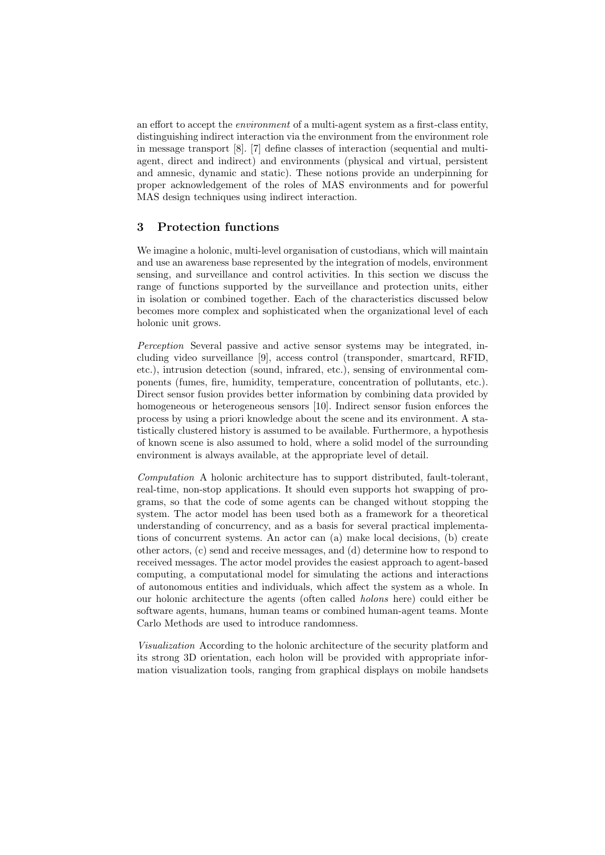an effort to accept the environment of a multi-agent system as a first-class entity, distinguishing indirect interaction via the environment from the environment role in message transport [8]. [7] define classes of interaction (sequential and multiagent, direct and indirect) and environments (physical and virtual, persistent and amnesic, dynamic and static). These notions provide an underpinning for proper acknowledgement of the roles of MAS environments and for powerful MAS design techniques using indirect interaction.

### 3 Protection functions

We imagine a holonic, multi-level organisation of custodians, which will maintain and use an awareness base represented by the integration of models, environment sensing, and surveillance and control activities. In this section we discuss the range of functions supported by the surveillance and protection units, either in isolation or combined together. Each of the characteristics discussed below becomes more complex and sophisticated when the organizational level of each holonic unit grows.

Perception Several passive and active sensor systems may be integrated, including video surveillance [9], access control (transponder, smartcard, RFID, etc.), intrusion detection (sound, infrared, etc.), sensing of environmental components (fumes, fire, humidity, temperature, concentration of pollutants, etc.). Direct sensor fusion provides better information by combining data provided by homogeneous or heterogeneous sensors [10]. Indirect sensor fusion enforces the process by using a priori knowledge about the scene and its environment. A statistically clustered history is assumed to be available. Furthermore, a hypothesis of known scene is also assumed to hold, where a solid model of the surrounding environment is always available, at the appropriate level of detail.

Computation A holonic architecture has to support distributed, fault-tolerant, real-time, non-stop applications. It should even supports hot swapping of programs, so that the code of some agents can be changed without stopping the system. The actor model has been used both as a framework for a theoretical understanding of concurrency, and as a basis for several practical implementations of concurrent systems. An actor can (a) make local decisions, (b) create other actors, (c) send and receive messages, and (d) determine how to respond to received messages. The actor model provides the easiest approach to agent-based computing, a computational model for simulating the actions and interactions of autonomous entities and individuals, which affect the system as a whole. In our holonic architecture the agents (often called holons here) could either be software agents, humans, human teams or combined human-agent teams. Monte Carlo Methods are used to introduce randomness.

Visualization According to the holonic architecture of the security platform and its strong 3D orientation, each holon will be provided with appropriate information visualization tools, ranging from graphical displays on mobile handsets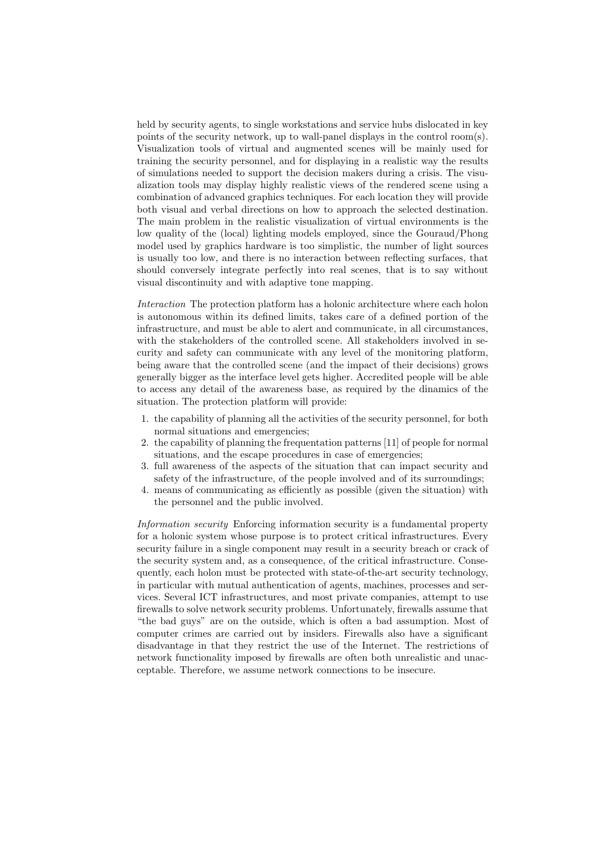held by security agents, to single workstations and service hubs dislocated in key points of the security network, up to wall-panel displays in the control room(s). Visualization tools of virtual and augmented scenes will be mainly used for training the security personnel, and for displaying in a realistic way the results of simulations needed to support the decision makers during a crisis. The visualization tools may display highly realistic views of the rendered scene using a combination of advanced graphics techniques. For each location they will provide both visual and verbal directions on how to approach the selected destination. The main problem in the realistic visualization of virtual environments is the low quality of the (local) lighting models employed, since the Gouraud/Phong model used by graphics hardware is too simplistic, the number of light sources is usually too low, and there is no interaction between reflecting surfaces, that should conversely integrate perfectly into real scenes, that is to say without visual discontinuity and with adaptive tone mapping.

Interaction The protection platform has a holonic architecture where each holon is autonomous within its defined limits, takes care of a defined portion of the infrastructure, and must be able to alert and communicate, in all circumstances, with the stakeholders of the controlled scene. All stakeholders involved in security and safety can communicate with any level of the monitoring platform, being aware that the controlled scene (and the impact of their decisions) grows generally bigger as the interface level gets higher. Accredited people will be able to access any detail of the awareness base, as required by the dinamics of the situation. The protection platform will provide:

- 1. the capability of planning all the activities of the security personnel, for both normal situations and emergencies;
- 2. the capability of planning the frequentation patterns [11] of people for normal situations, and the escape procedures in case of emergencies;
- 3. full awareness of the aspects of the situation that can impact security and safety of the infrastructure, of the people involved and of its surroundings;
- 4. means of communicating as efficiently as possible (given the situation) with the personnel and the public involved.

Information security Enforcing information security is a fundamental property for a holonic system whose purpose is to protect critical infrastructures. Every security failure in a single component may result in a security breach or crack of the security system and, as a consequence, of the critical infrastructure. Consequently, each holon must be protected with state-of-the-art security technology, in particular with mutual authentication of agents, machines, processes and services. Several ICT infrastructures, and most private companies, attempt to use firewalls to solve network security problems. Unfortunately, firewalls assume that "the bad guys" are on the outside, which is often a bad assumption. Most of computer crimes are carried out by insiders. Firewalls also have a significant disadvantage in that they restrict the use of the Internet. The restrictions of network functionality imposed by firewalls are often both unrealistic and unacceptable. Therefore, we assume network connections to be insecure.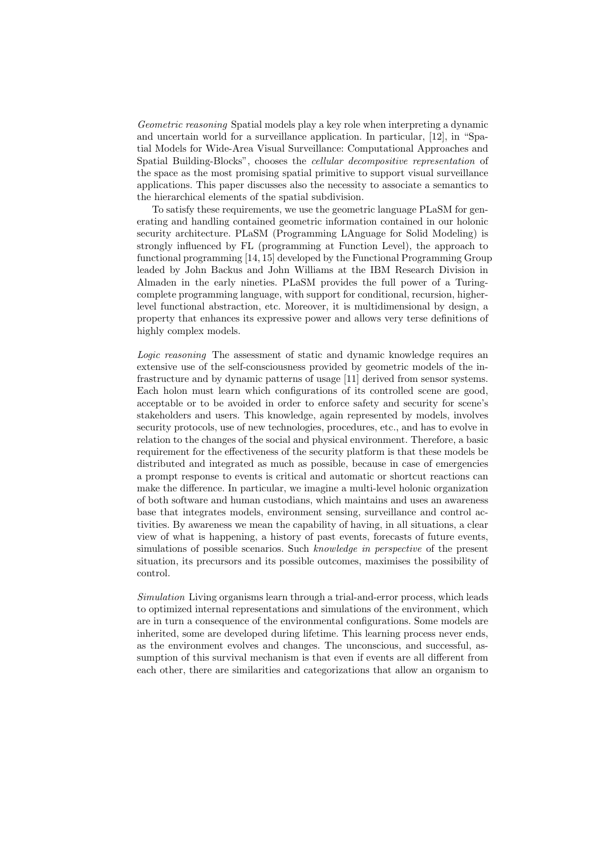Geometric reasoning Spatial models play a key role when interpreting a dynamic and uncertain world for a surveillance application. In particular, [12], in "Spatial Models for Wide-Area Visual Surveillance: Computational Approaches and Spatial Building-Blocks", chooses the cellular decompositive representation of the space as the most promising spatial primitive to support visual surveillance applications. This paper discusses also the necessity to associate a semantics to the hierarchical elements of the spatial subdivision.

To satisfy these requirements, we use the geometric language PLaSM for generating and handling contained geometric information contained in our holonic security architecture. PLaSM (Programming LAnguage for Solid Modeling) is strongly influenced by FL (programming at Function Level), the approach to functional programming [14, 15] developed by the Functional Programming Group leaded by John Backus and John Williams at the IBM Research Division in Almaden in the early nineties. PLaSM provides the full power of a Turingcomplete programming language, with support for conditional, recursion, higherlevel functional abstraction, etc. Moreover, it is multidimensional by design, a property that enhances its expressive power and allows very terse definitions of highly complex models.

Logic reasoning The assessment of static and dynamic knowledge requires an extensive use of the self-consciousness provided by geometric models of the infrastructure and by dynamic patterns of usage [11] derived from sensor systems. Each holon must learn which configurations of its controlled scene are good, acceptable or to be avoided in order to enforce safety and security for scene's stakeholders and users. This knowledge, again represented by models, involves security protocols, use of new technologies, procedures, etc., and has to evolve in relation to the changes of the social and physical environment. Therefore, a basic requirement for the effectiveness of the security platform is that these models be distributed and integrated as much as possible, because in case of emergencies a prompt response to events is critical and automatic or shortcut reactions can make the difference. In particular, we imagine a multi-level holonic organization of both software and human custodians, which maintains and uses an awareness base that integrates models, environment sensing, surveillance and control activities. By awareness we mean the capability of having, in all situations, a clear view of what is happening, a history of past events, forecasts of future events, simulations of possible scenarios. Such knowledge in perspective of the present situation, its precursors and its possible outcomes, maximises the possibility of control.

Simulation Living organisms learn through a trial-and-error process, which leads to optimized internal representations and simulations of the environment, which are in turn a consequence of the environmental configurations. Some models are inherited, some are developed during lifetime. This learning process never ends, as the environment evolves and changes. The unconscious, and successful, assumption of this survival mechanism is that even if events are all different from each other, there are similarities and categorizations that allow an organism to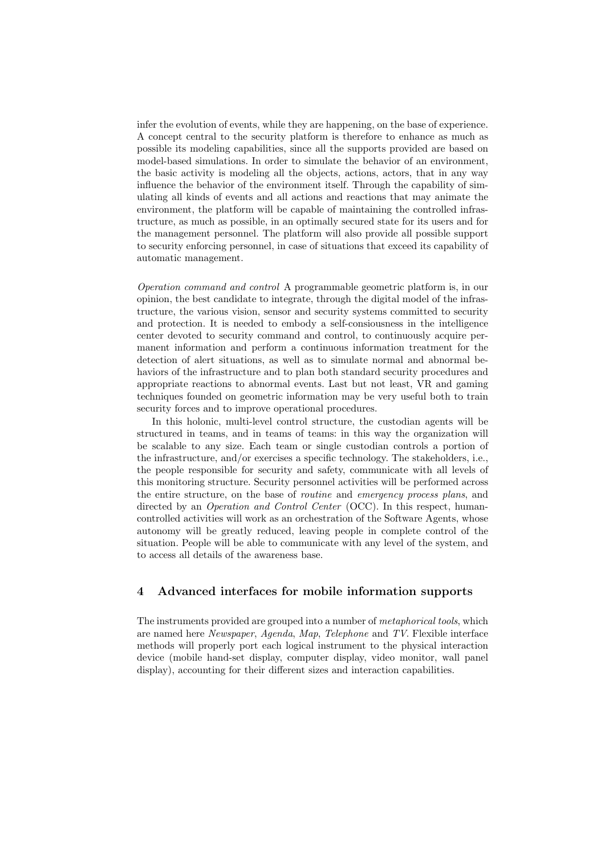infer the evolution of events, while they are happening, on the base of experience. A concept central to the security platform is therefore to enhance as much as possible its modeling capabilities, since all the supports provided are based on model-based simulations. In order to simulate the behavior of an environment, the basic activity is modeling all the objects, actions, actors, that in any way influence the behavior of the environment itself. Through the capability of simulating all kinds of events and all actions and reactions that may animate the environment, the platform will be capable of maintaining the controlled infrastructure, as much as possible, in an optimally secured state for its users and for the management personnel. The platform will also provide all possible support to security enforcing personnel, in case of situations that exceed its capability of automatic management.

Operation command and control A programmable geometric platform is, in our opinion, the best candidate to integrate, through the digital model of the infrastructure, the various vision, sensor and security systems committed to security and protection. It is needed to embody a self-consiousness in the intelligence center devoted to security command and control, to continuously acquire permanent information and perform a continuous information treatment for the detection of alert situations, as well as to simulate normal and abnormal behaviors of the infrastructure and to plan both standard security procedures and appropriate reactions to abnormal events. Last but not least, VR and gaming techniques founded on geometric information may be very useful both to train security forces and to improve operational procedures.

In this holonic, multi-level control structure, the custodian agents will be structured in teams, and in teams of teams: in this way the organization will be scalable to any size. Each team or single custodian controls a portion of the infrastructure, and/or exercises a specific technology. The stakeholders, i.e., the people responsible for security and safety, communicate with all levels of this monitoring structure. Security personnel activities will be performed across the entire structure, on the base of *routine* and *emergency process plans*, and directed by an *Operation and Control Center* (OCC). In this respect, humancontrolled activities will work as an orchestration of the Software Agents, whose autonomy will be greatly reduced, leaving people in complete control of the situation. People will be able to communicate with any level of the system, and to access all details of the awareness base.

### 4 Advanced interfaces for mobile information supports

The instruments provided are grouped into a number of *metaphorical tools*, which are named here Newspaper, Agenda, Map, Telephone and TV. Flexible interface methods will properly port each logical instrument to the physical interaction device (mobile hand-set display, computer display, video monitor, wall panel display), accounting for their different sizes and interaction capabilities.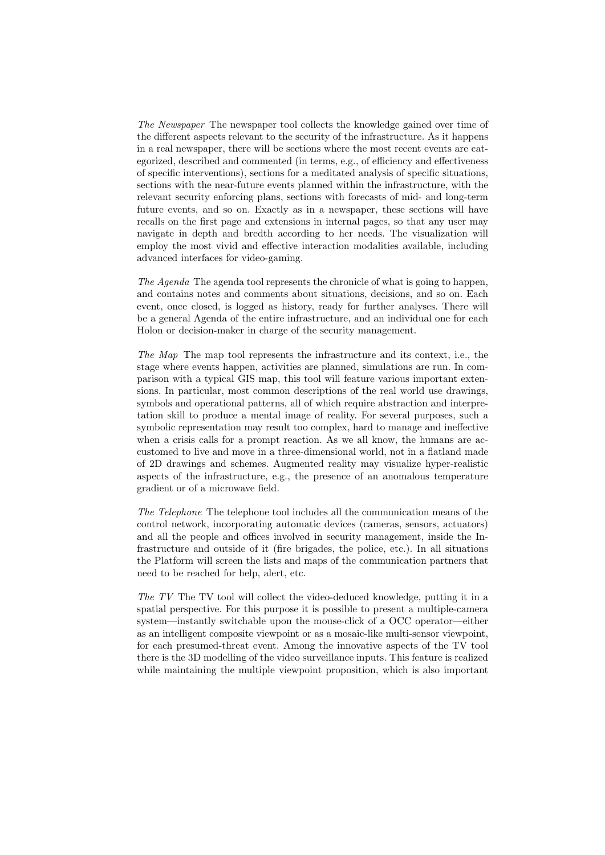The Newspaper The newspaper tool collects the knowledge gained over time of the different aspects relevant to the security of the infrastructure. As it happens in a real newspaper, there will be sections where the most recent events are categorized, described and commented (in terms, e.g., of efficiency and effectiveness of specific interventions), sections for a meditated analysis of specific situations, sections with the near-future events planned within the infrastructure, with the relevant security enforcing plans, sections with forecasts of mid- and long-term future events, and so on. Exactly as in a newspaper, these sections will have recalls on the first page and extensions in internal pages, so that any user may navigate in depth and bredth according to her needs. The visualization will employ the most vivid and effective interaction modalities available, including advanced interfaces for video-gaming.

The Agenda The agenda tool represents the chronicle of what is going to happen, and contains notes and comments about situations, decisions, and so on. Each event, once closed, is logged as history, ready for further analyses. There will be a general Agenda of the entire infrastructure, and an individual one for each Holon or decision-maker in charge of the security management.

The Map The map tool represents the infrastructure and its context, i.e., the stage where events happen, activities are planned, simulations are run. In comparison with a typical GIS map, this tool will feature various important extensions. In particular, most common descriptions of the real world use drawings, symbols and operational patterns, all of which require abstraction and interpretation skill to produce a mental image of reality. For several purposes, such a symbolic representation may result too complex, hard to manage and ineffective when a crisis calls for a prompt reaction. As we all know, the humans are accustomed to live and move in a three-dimensional world, not in a flatland made of 2D drawings and schemes. Augmented reality may visualize hyper-realistic aspects of the infrastructure, e.g., the presence of an anomalous temperature gradient or of a microwave field.

The Telephone The telephone tool includes all the communication means of the control network, incorporating automatic devices (cameras, sensors, actuators) and all the people and offices involved in security management, inside the Infrastructure and outside of it (fire brigades, the police, etc.). In all situations the Platform will screen the lists and maps of the communication partners that need to be reached for help, alert, etc.

The TV The TV tool will collect the video-deduced knowledge, putting it in a spatial perspective. For this purpose it is possible to present a multiple-camera system—instantly switchable upon the mouse-click of a OCC operator—either as an intelligent composite viewpoint or as a mosaic-like multi-sensor viewpoint, for each presumed-threat event. Among the innovative aspects of the TV tool there is the 3D modelling of the video surveillance inputs. This feature is realized while maintaining the multiple viewpoint proposition, which is also important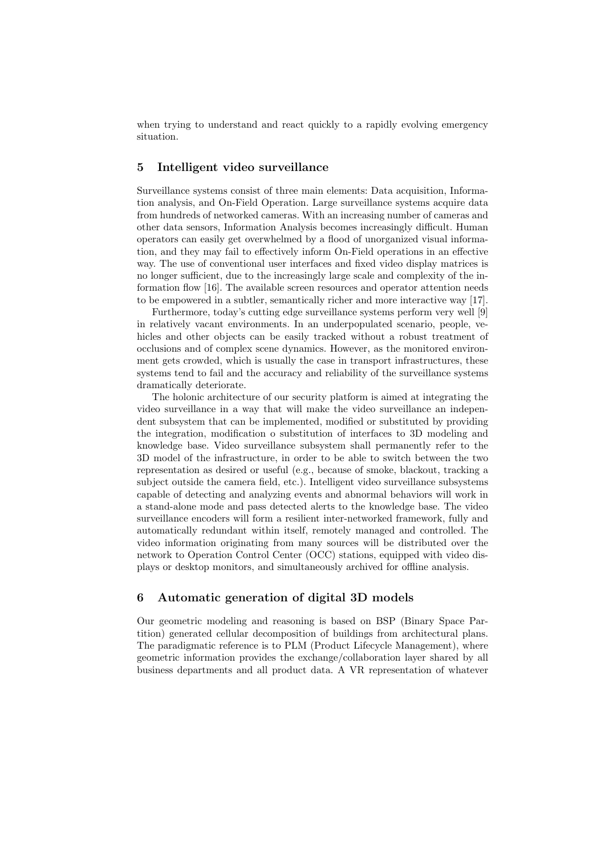when trying to understand and react quickly to a rapidly evolving emergency situation.

## 5 Intelligent video surveillance

Surveillance systems consist of three main elements: Data acquisition, Information analysis, and On-Field Operation. Large surveillance systems acquire data from hundreds of networked cameras. With an increasing number of cameras and other data sensors, Information Analysis becomes increasingly difficult. Human operators can easily get overwhelmed by a flood of unorganized visual information, and they may fail to effectively inform On-Field operations in an effective way. The use of conventional user interfaces and fixed video display matrices is no longer sufficient, due to the increasingly large scale and complexity of the information flow [16]. The available screen resources and operator attention needs to be empowered in a subtler, semantically richer and more interactive way [17].

Furthermore, today's cutting edge surveillance systems perform very well [9] in relatively vacant environments. In an underpopulated scenario, people, vehicles and other objects can be easily tracked without a robust treatment of occlusions and of complex scene dynamics. However, as the monitored environment gets crowded, which is usually the case in transport infrastructures, these systems tend to fail and the accuracy and reliability of the surveillance systems dramatically deteriorate.

The holonic architecture of our security platform is aimed at integrating the video surveillance in a way that will make the video surveillance an independent subsystem that can be implemented, modified or substituted by providing the integration, modification o substitution of interfaces to 3D modeling and knowledge base. Video surveillance subsystem shall permanently refer to the 3D model of the infrastructure, in order to be able to switch between the two representation as desired or useful (e.g., because of smoke, blackout, tracking a subject outside the camera field, etc.). Intelligent video surveillance subsystems capable of detecting and analyzing events and abnormal behaviors will work in a stand-alone mode and pass detected alerts to the knowledge base. The video surveillance encoders will form a resilient inter-networked framework, fully and automatically redundant within itself, remotely managed and controlled. The video information originating from many sources will be distributed over the network to Operation Control Center (OCC) stations, equipped with video displays or desktop monitors, and simultaneously archived for offline analysis.

#### 6 Automatic generation of digital 3D models

Our geometric modeling and reasoning is based on BSP (Binary Space Partition) generated cellular decomposition of buildings from architectural plans. The paradigmatic reference is to PLM (Product Lifecycle Management), where geometric information provides the exchange/collaboration layer shared by all business departments and all product data. A VR representation of whatever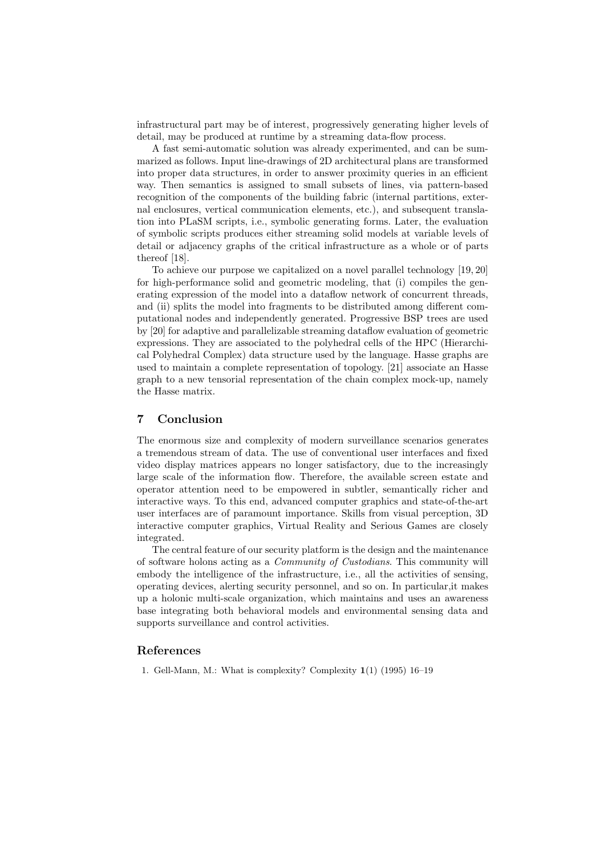infrastructural part may be of interest, progressively generating higher levels of detail, may be produced at runtime by a streaming data-flow process.

A fast semi-automatic solution was already experimented, and can be summarized as follows. Input line-drawings of 2D architectural plans are transformed into proper data structures, in order to answer proximity queries in an efficient way. Then semantics is assigned to small subsets of lines, via pattern-based recognition of the components of the building fabric (internal partitions, external enclosures, vertical communication elements, etc.), and subsequent translation into PLaSM scripts, i.e., symbolic generating forms. Later, the evaluation of symbolic scripts produces either streaming solid models at variable levels of detail or adjacency graphs of the critical infrastructure as a whole or of parts thereof [18].

To achieve our purpose we capitalized on a novel parallel technology [19, 20] for high-performance solid and geometric modeling, that (i) compiles the generating expression of the model into a dataflow network of concurrent threads, and (ii) splits the model into fragments to be distributed among different computational nodes and independently generated. Progressive BSP trees are used by [20] for adaptive and parallelizable streaming dataflow evaluation of geometric expressions. They are associated to the polyhedral cells of the HPC (Hierarchical Polyhedral Complex) data structure used by the language. Hasse graphs are used to maintain a complete representation of topology. [21] associate an Hasse graph to a new tensorial representation of the chain complex mock-up, namely the Hasse matrix.

## 7 Conclusion

The enormous size and complexity of modern surveillance scenarios generates a tremendous stream of data. The use of conventional user interfaces and fixed video display matrices appears no longer satisfactory, due to the increasingly large scale of the information flow. Therefore, the available screen estate and operator attention need to be empowered in subtler, semantically richer and interactive ways. To this end, advanced computer graphics and state-of-the-art user interfaces are of paramount importance. Skills from visual perception, 3D interactive computer graphics, Virtual Reality and Serious Games are closely integrated.

The central feature of our security platform is the design and the maintenance of software holons acting as a Community of Custodians. This community will embody the intelligence of the infrastructure, i.e., all the activities of sensing, operating devices, alerting security personnel, and so on. In particular,it makes up a holonic multi-scale organization, which maintains and uses an awareness base integrating both behavioral models and environmental sensing data and supports surveillance and control activities.

#### References

1. Gell-Mann, M.: What is complexity? Complexity 1(1) (1995) 16–19